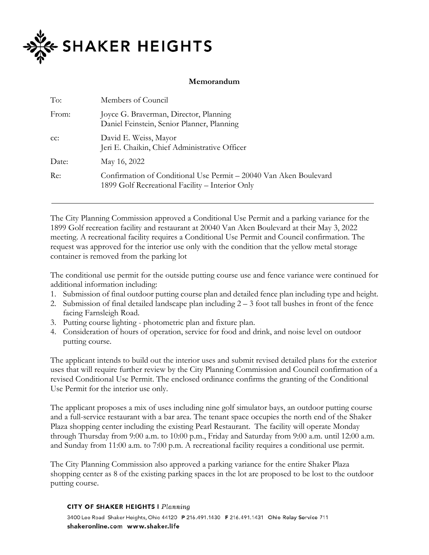

## **Memorandum**

| To:    | Members of Council                                                                                                   |
|--------|----------------------------------------------------------------------------------------------------------------------|
| From:  | Joyce G. Braverman, Director, Planning<br>Daniel Feinstein, Senior Planner, Planning                                 |
| $CC$ : | David E. Weiss, Mayor<br>Jeri E. Chaikin, Chief Administrative Officer                                               |
| Date:  | May 16, 2022                                                                                                         |
| Re:    | Confirmation of Conditional Use Permit – 20040 Van Aken Boulevard<br>1899 Golf Recreational Facility – Interior Only |

The City Planning Commission approved a Conditional Use Permit and a parking variance for the 1899 Golf recreation facility and restaurant at 20040 Van Aken Boulevard at their May 3, 2022 meeting. A recreational facility requires a Conditional Use Permit and Council confirmation. The request was approved for the interior use only with the condition that the yellow metal storage container is removed from the parking lot

The conditional use permit for the outside putting course use and fence variance were continued for additional information including:

- 1. Submission of final outdoor putting course plan and detailed fence plan including type and height.
- 2. Submission of final detailed landscape plan including 2 3 foot tall bushes in front of the fence facing Farnsleigh Road.
- 3. Putting course lighting photometric plan and fixture plan.
- 4. Consideration of hours of operation, service for food and drink, and noise level on outdoor putting course.

The applicant intends to build out the interior uses and submit revised detailed plans for the exterior uses that will require further review by the City Planning Commission and Council confirmation of a revised Conditional Use Permit. The enclosed ordinance confirms the granting of the Conditional Use Permit for the interior use only.

The applicant proposes a mix of uses including nine golf simulator bays, an outdoor putting course and a full-service restaurant with a bar area. The tenant space occupies the north end of the Shaker Plaza shopping center including the existing Pearl Restaurant. The facility will operate Monday through Thursday from 9:00 a.m. to 10:00 p.m., Friday and Saturday from 9:00 a.m. until 12:00 a.m. and Sunday from 11:00 a.m. to 7:00 p.m. A recreational facility requires a conditional use permit.

The City Planning Commission also approved a parking variance for the entire Shaker Plaza shopping center as 8 of the existing parking spaces in the lot are proposed to be lost to the outdoor putting course.

## **CITY OF SHAKER HEIGHTS I Planning**

3400 Lee Road Shaker Heights, Ohio 44120 P 216.491.1430 F 216.491.1431 Ohio Relay Service 711 shakeronline.com www.shaker.life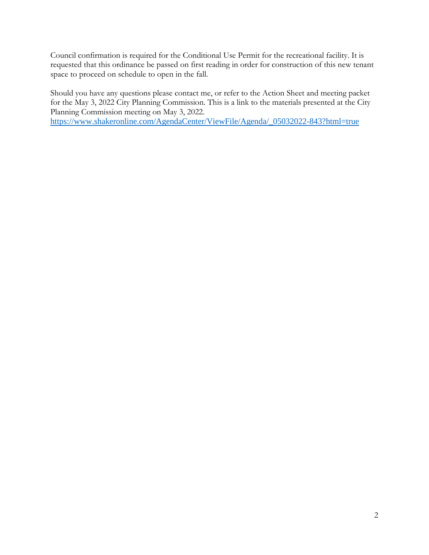Council confirmation is required for the Conditional Use Permit for the recreational facility. It is requested that this ordinance be passed on first reading in order for construction of this new tenant space to proceed on schedule to open in the fall.

Should you have any questions please contact me, or refer to the Action Sheet and meeting packet for the May 3, 2022 City Planning Commission. This is a link to the materials presented at the City Planning Commission meeting on May 3, 2022. [https://www.shakeronline.com/AgendaCenter/ViewFile/Agenda/\\_05032022-843?html=true](https://www.shakeronline.com/AgendaCenter/ViewFile/Agenda/_05032022-843?html=true)